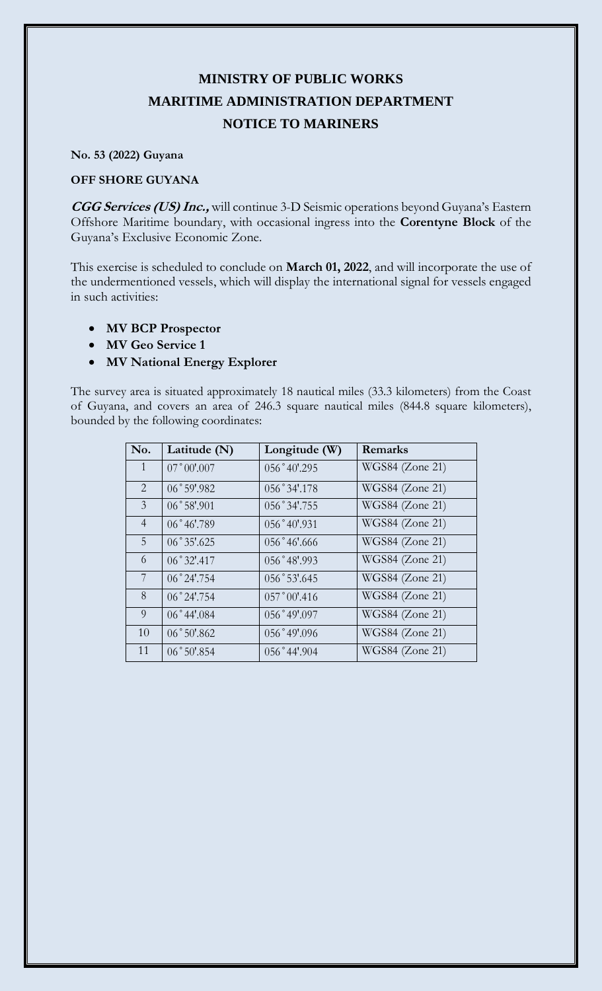## **MINISTRY OF PUBLIC WORKS MARITIME ADMINISTRATION DEPARTMENT NOTICE TO MARINERS**

**No. 53 (2022) Guyana**

## **OFF SHORE GUYANA**

**CGG Services (US) Inc.,** will continue 3-D Seismic operations beyond Guyana's Eastern Offshore Maritime boundary, with occasional ingress into the **Corentyne Block** of the Guyana's Exclusive Economic Zone.

This exercise is scheduled to conclude on **March 01, 2022**, and will incorporate the use of the undermentioned vessels, which will display the international signal for vessels engaged in such activities:

- **MV BCP Prospector**
- **MV Geo Service 1**
- **MV National Energy Explorer**

The survey area is situated approximately 18 nautical miles (33.3 kilometers) from the Coast of Guyana, and covers an area of 246.3 square nautical miles (844.8 square kilometers), bounded by the following coordinates:

| No.            | Latitude $(N)$       | Longitude (W)          | Remarks         |
|----------------|----------------------|------------------------|-----------------|
| $\mathbf{1}$   | $07°00'$ .007        | $056°40'$ .295         | WGS84 (Zone 21) |
| $\overline{2}$ | 06°59'082            | 056°34'.178            | WGS84 (Zone 21) |
| $\mathfrak{Z}$ | $06°58'$ .901        | 056°34'.755            | WGS84 (Zone 21) |
| $\overline{4}$ | 06°46'.789           | 056°40'.931            | WGS84 (Zone 21) |
| 5              | 06°35'0625           | 056°46'0.666           | WGS84 (Zone 21) |
| 6              | $06°32'$ :417        | $056°48'$ .993         | WGS84 (Zone 21) |
| 7              | $06°24'$ .754        | 056°53'.645            | WGS84 (Zone 21) |
| 8              | $06°24'$ .754        | $0.57^{\circ}00'$ .416 | WGS84 (Zone 21) |
| 9              | $06^{\circ}44'084$   | 056°49'097             | WGS84 (Zone 21) |
| 10             | $06^{\circ}50'$ .862 | 056°49'096             | WGS84 (Zone 21) |
| 11             | 06°50'.854           | $056°44'$ .904         | WGS84 (Zone 21) |